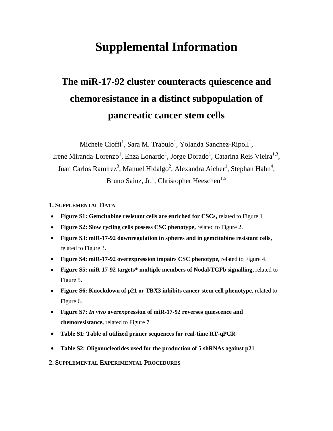# **Supplemental Information**

# **The miR-17-92 cluster counteracts quiescence and chemoresistance in a distinct subpopulation of pancreatic cancer stem cells**

Michele Cioffi<sup>1</sup>, Sara M. Trabulo<sup>1</sup>, Yolanda Sanchez-Ripoll<sup>1</sup>,

Irene Miranda-Lorenzo<sup>1</sup>, Enza Lonardo<sup>1</sup>, Jorge Dorado<sup>1</sup>, Catarina Reis Vieira<sup>1,3</sup>, Juan Carlos Ramirez<sup>3</sup>, Manuel Hidalgo<sup>2</sup>, Alexandra Aicher<sup>1</sup>, Stephan Hahn<sup>4</sup>, Bruno Sainz, Jr.<sup>1</sup>, Christopher Heeschen<sup>1,5</sup>

## **1. SUPPLEMENTAL DATA**

- **Figure S1: Gemcitabine resistant cells are enriched for CSCs,** related to Figure 1
- **Figure S2: Slow cycling cells possess CSC phenotype,** related to Figure 2.
- **Figure S3: miR-17-92 downregulation in spheres and in gemcitabine resistant cells,**  related to Figure 3.
- **Figure S4: miR-17-92 overexpression impairs CSC phenotype,** related to Figure 4.
- **Figure S5: miR-17-92 targets\* multiple members of Nodal/TGFb signalling,** related to Figure 5.
- **Figure S6: Knockdown of p21 or TBX3 inhibits cancer stem cell phenotype,** related to Figure 6.
- **Figure S7:** *In vivo* **overexpression of miR-17-92 reverses quiescence and chemoresistance,** related to Figure 7
- **Table S1: Table of utilized primer sequences for real-time RT-qPCR**
- **Table S2: Oligonucleotides used for the production of 5 shRNAs against p21**
- **2. SUPPLEMENTAL EXPERIMENTAL PROCEDURES**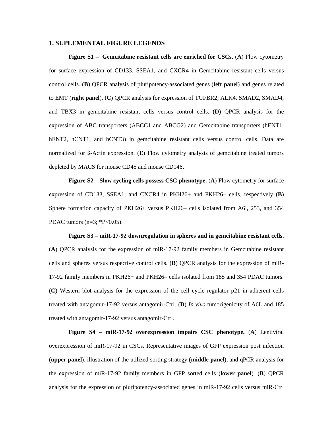#### **1. SUPLEMENTAL FIGURE LEGENDS**

**Figure S1 – Gemcitabine resistant cells are enriched for CSCs.** (**A**) Flow cytometry for surface expression of CD133, SSEA1, and CXCR4 in Gemcitabine resistant cells versus control cells. (**B**) QPCR analysis of pluripotency-associated genes (**left panel**) and genes related to EMT (**right panel**). (**C**) QPCR analysis for expression of TGFBR2, ALK4, SMAD2, SMAD4, and TBX3 in gemcitabine resistant cells versus control cells. (**D**) QPCR analysis for the expression of ABC transporters (ABCC1 and ABCG2) and Gemcitabine transporters (hENT1, hENT2, hCNT1, and hCNT3) in gemcitabine resistant cells versus control cells. Data are normalized for ß-Actin expression. (**E**) Flow cytometry analysis of gemcitabine treated tumors depleted by MACS for mouse CD45 and mouse CD146**.**

**Figure S2 – Slow cycling cells possess CSC phenotype.** (**A**) Flow cytometry for surface expression of CD133, SSEA1, and CXCR4 in PKH26+ and PKH26– cells, respectively (**B**) Sphere formation capacity of PKH26+ versus PKH26– cells isolated from A6l, 253, and 354 PDAC tumors ( $n=3$ ;  $*P<0.05$ ).

**Figure S3 – miR-17-92 downregulation in spheres and in gemcitabine resistant cells.** (**A**) QPCR analysis for the expression of miR-17-92 family members in Gemcitabine resistant cells and spheres versus respective control cells. (**B**) QPCR analysis for the expression of miR-17-92 family members in PKH26+ and PKH26– cells isolated from 185 and 354 PDAC tumors. (**C**) Western blot analysis for the expression of the cell cycle regulator p21 in adherent cells treated with antagomir-17-92 versus antagomir-Ctrl. (**D**) *In vivo* tumorigenicity of A6L and 185 treated with antagomir-17-92 versus antagomir-Ctrl.

**Figure S4 – miR-17-92 overexpression impairs CSC phenotype.** (**A**) Lentiviral overexpression of miR-17-92 in CSCs. Representative images of GFP expression post infection (**upper panel**), illustration of the utilized sorting strategy (**middle panel**), and qPCR analysis for the expression of miR-17-92 family members in GFP sorted cells (**lower panel**). (**B**) QPCR analysis for the expression of pluripotency-associated genes in miR-17-92 cells versus miR-Ctrl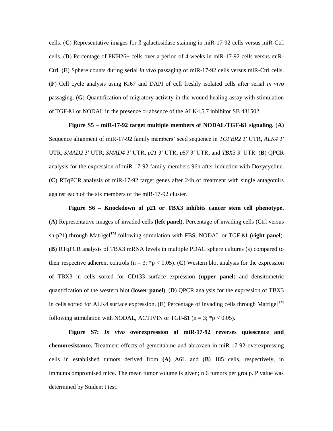cells. (**C**) Representative images for ß-galactosidase staining in miR-17-92 cells versus miR-Ctrl cells. (**D**) Percentage of PKH26+ cells over a period of 4 weeks in miR-17-92 cells versus miR-Ctrl. (**E**) Sphere counts during serial *in vivo* passaging of miR-17-92 cells versus miR-Ctrl cells. (**F**) Cell cycle analysis using Ki67 and DAPI of cell freshly isolated cells after serial *in vivo* passaging. (**G**) Quantification of migratory activity in the wound-healing assay with stimulation of TGF-ß1 or NODAL in the presence or absence of the ALK4,5,7 inhibitor SB 431502.

#### **Figure S5 – miR-17-92 target multiple members of NODAL/TGF-ß1 signaling.** (**A**)

Sequence alignment of miR-17-92 family members' seed sequence in *TGFBR2* 3′ UTR, *ALK4* 3′ UTR, *SMAD2* 3′ UTR*, SMAD4* 3′ UTR*, p21* 3′ UTR*, p57* 3′ UTR, and *TBX3* 3′ UTR. (**B**) QPCR analysis for the expression of miR-17-92 family members 96h after induction with Doxycycline. (**C**) RTqPCR analysis of miR-17-92 target genes after 24h of treatment with single antagomirs against each of the six members of the miR-17-92 cluster.

**Figure S6 – Knockdown of p21 or TBX3 inhibits cancer stem cell phenotype.**  (**A**) Representative images of invaded cells **(left panel).** Percentage of invading cells (Ctrl versus sh-p21) through Matrigel<sup>TM</sup> following stimulation with FBS, NODAL or TGF- $\beta$ 1 (right panel). (**B**) RTqPCR analysis of TBX3 mRNA levels in multiple PDAC sphere cultures (s) compared to their respective adherent controls ( $n = 3$ ; \*p < 0.05). (C) Western blot analysis for the expression of TBX3 in cells sorted for CD133 surface expression (**upper panel**) and densitometric quantification of the western blot (**lower panel**). (**D**) QPCR analysis for the expression of TBX3 in cells sorted for ALK4 surface expression. (E) Percentage of invading cells through Matrigel<sup>TM</sup> following stimulation with NODAL, ACTIVIN or TGF- $\beta$ 1 (n = 3; \*p < 0.05).

**Figure S7:** *In vivo* **overexpression of miR-17-92 reverses quiescence and chemoresistance.** Treatment effects of gemcitabine and abraxaen in miR-17-92 overexpressing cells in established tumors derived from **(A)** A6L and (**B**) 185 cells, respectively, in immunocompromised mice. The mean tumor volume is given; n 6 tumors per group. P value was determined by Student t test.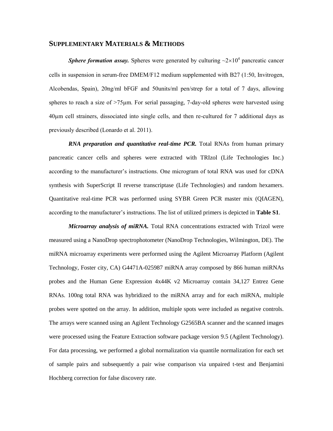### **SUPPLEMENTARY MATERIALS & METHODS**

**Sphere formation assay.** Spheres were generated by culturing  $\sim 2 \times 10^4$  pancreatic cancer cells in suspension in serum-free DMEM/F12 medium supplemented with B27 (1:50, Invitrogen, Alcobendas, Spain), 20ng/ml bFGF and 50units/ml pen/strep for a total of 7 days, allowing spheres to reach a size of  $>75\mu$ m. For serial passaging, 7-day-old spheres were harvested using 40µm cell strainers, dissociated into single cells, and then re-cultured for 7 additional days as previously described (Lonardo et al. 2011).

*RNA preparation and quantitative real-time PCR*. Total RNAs from human primary pancreatic cancer cells and spheres were extracted with TRIzol (Life Technologies Inc.) according to the manufacturer's instructions. One microgram of total RNA was used for cDNA synthesis with SuperScript II reverse transcriptase (Life Technologies) and random hexamers. Quantitative real-time PCR was performed using SYBR Green PCR master mix (QIAGEN), according to the manufacturer's instructions. The list of utilized primers is depicted in **Table S1**.

*Microarray analysis of miRNA.* Total RNA concentrations extracted with Trizol were measured using a NanoDrop spectrophotometer (NanoDrop Technologies, Wilmington, DE). The miRNA microarray experiments were performed using the Agilent Microarray Platform (Agilent Technology, Foster city, CA) G4471A-025987 miRNA array composed by 866 human miRNAs probes and the Human Gene Expression 4x44K v2 Microarray contain 34,127 Entrez Gene RNAs. 100ng total RNA was hybridized to the miRNA array and for each miRNA, multiple probes were spotted on the array. In addition, multiple spots were included as negative controls. The arrays were scanned using an Agilent Technology G2565BA scanner and the scanned images were processed using the Feature Extraction software package version 9.5 (Agilent Technology). For data processing, we performed a global normalization via quantile normalization for each set of sample pairs and subsequently a pair wise comparison via unpaired t-test and Benjamini Hochberg correction for false discovery rate.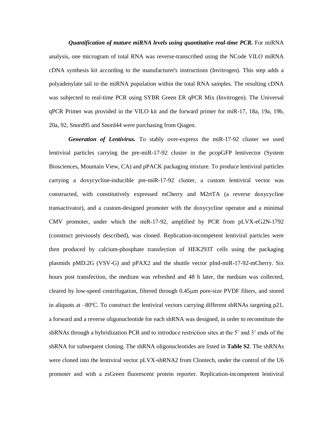*Quantification of mature miRNA levels using quantitative real-time PCR.* For miRNA analysis, one microgram of total RNA was reverse-transcribed using the NCode VILO miRNA cDNA synthesis kit according to the manufacturer's instructions (Invitrogen). This step adds a polyadenylate tail to the miRNA population within the total RNA samples. The resulting cDNA was subjected to real-time PCR using SYBR Green ER qPCR Mix (Invitrogen). The Universal qPCR Primer was provided in the VILO kit and the forward primer for miR-17, 18a, 19a, 19b, 20a, 92, Snord95 and Snord44 were purchasing from Qiagen.

*Generation of Lentivirus.* To stably over-express the miR-17-92 cluster we used lentiviral particles carrying the pre-miR-17-92 cluster in the pcopGFP lentivector (System Biosciences, Mountain View, CA) and pPACK packaging mixture. To produce lentiviral particles carrying a doxycycline-inducible pre-miR-17-92 cluster, a custom lentiviral vector was constructed, with constitutively expressed mCherry and M2rtTA (a reverse doxycycline transactivator), and a custom-designed promoter with the doxycycline operator and a minimal CMV promoter, under which the miR-17-92, amplified by PCR from pLVX-eG2N-1792 (construct previously described), was cloned. Replication-incompetent lentiviral particles were then produced by calcium-phosphate transfection of HEK293T cells using the packaging plasmids pMD.2G (VSV-G) and pPAX2 and the shuttle vector pInd-miR-17-92-mCherry. Six hours post transfection, the medium was refreshed and 48 h later, the medium was collected, cleared by low-speed centrifugation, filtered through 0.45m pore-size PVDF filters, and stored in aliquots at –80ºC. To construct the lentiviral vectors carrying different shRNAs targeting p21, a forward and a reverse oligonucleotide for each shRNA was designed, in order to reconstitute the shRNAs through a hybridization PCR and to introduce restriction sites at the 5' and 3' ends of the shRNA for subsequent cloning. The shRNA oligonucleotides are listed in **Table S2**. The shRNAs were cloned into the lentiviral vector pLVX-shRNA2 from Clontech, under the control of the U6 promoter and with a zsGreen fluorescent protein reporter. Replication-incompetent lentiviral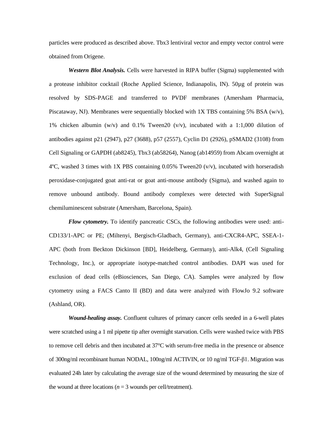particles were produced as described above. Tbx3 lentiviral vector and empty vector control were obtained from Origene.

*Western Blot Analysis.* Cells were harvested in RIPA buffer (Sigma) supplemented with a protease inhibitor cocktail (Roche Applied Science, Indianapolis, IN). 50µg of protein was resolved by SDS-PAGE and transferred to PVDF membranes (Amersham Pharmacia, Piscataway, NJ). Membranes were sequentially blocked with  $1X$  TBS containing 5% BSA (w/v), 1% chicken albumin (w/v) and 0.1% Tween20 (v/v), incubated with a 1:1,000 dilution of antibodies against p21 (2947), p27 (3688), p57 (2557), Cyclin D1 (2926), pSMAD2 (3108) from Cell Signaling or GAPDH (ab8245), Tbx3 (ab58264), Nanog (ab14959) from Abcam overnight at  $4^{\circ}$ C, washed 3 times with 1X PBS containing 0.05% Tween20 (v/v), incubated with horseradish peroxidase-conjugated goat anti-rat or goat anti-mouse antibody (Sigma), and washed again to remove unbound antibody. Bound antibody complexes were detected with SuperSignal chemiluminescent substrate (Amersham, Barcelona, Spain).

*Flow cytometry.* To identify pancreatic CSCs, the following antibodies were used: anti-CD133/1-APC or PE; (Miltenyi, Bergisch-Gladbach, Germany), anti-CXCR4-APC, SSEA-1- APC (both from Beckton Dickinson [BD], Heidelberg, Germany), anti-Alk4, (Cell Signaling Technology, Inc.), or appropriate isotype-matched control antibodies. DAPI was used for exclusion of dead cells (eBiosciences, San Diego, CA). Samples were analyzed by flow cytometry using a FACS Canto II (BD) and data were analyzed with FlowJo 9.2 software (Ashland, OR).

*Wound-healing assay.* Confluent cultures of primary cancer cells seeded in a 6-well plates were scratched using a 1 ml pipette tip after overnight starvation. Cells were washed twice with PBS to remove cell debris and then incubated at 37°C with serum-free media in the presence or absence of 300ng/ml recombinant human NODAL, 100ng/ml ACTIVIN, or 10 ng/ml TGF-β1. Migration was evaluated 24h later by calculating the average size of the wound determined by measuring the size of the wound at three locations ( $n = 3$  wounds per cell/treatment).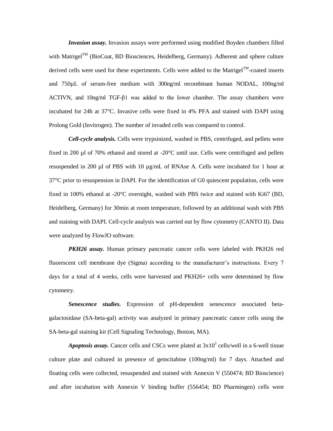*Invasion assay.* Invasion assays were performed using modified Boyden chambers filled with Matrigel<sup>TM</sup> (BioCoat, BD Biosciences, Heidelberg, Germany). Adherent and sphere culture derived cells were used for these experiments. Cells were added to the Matrigel<sup>TM</sup>-coated inserts and 750µL of serum-free medium with 300ng/ml recombinant human NODAL, 100ng/ml ACTIVN, and 10ng/ml TGF-β1 was added to the lower chamber. The assay chambers were incubated for 24h at 37°C. Invasive cells were fixed in 4% PFA and stained with DAPI using Prolong Gold (Invitrogen). The number of invaded cells was compared to control.

*Cell-cycle analysis.* Cells were trypsinized, washed in PBS, centrifuged, and pellets were fixed in 200 µl of 70% ethanol and stored at -20°C until use. Cells were centrifuged and pellets resuspended in 200 µl of PBS with 10 µg/mL of RNAse A. Cells were incubated for 1 hour at 37°C prior to resuspension in DAPI. For the identification of G0 quiescent population, cells were fixed in 100% ethanol at -20°C overnight, washed with PBS twice and stained with Ki67 (BD, Heidelberg, Germany) for 30min at room temperature, followed by an additional wash with PBS and staining with DAPI. Cell-cycle analysis was carried out by flow cytometry (CANTO II). Data were analyzed by FlowJO software.

*PKH26 assay.* Human primary pancreatic cancer cells were labeled with PKH26 red fluorescent cell membrane dye (Sigma) according to the manufacturer's instructions. Every 7 days for a total of 4 weeks, cells were harvested and PKH26+ cells were determined by flow cytometry.

*Senescence studies.* Expression of pH-dependent senescence associated betagalactosidase (SA-beta-gal) activity was analyzed in primary pancreatic cancer cells using the SA-beta-gal staining kit (Cell Signaling Technology, Boston, MA).

*Apoptosis assay.* Cancer cells and CSCs were plated at  $3x10^5$  cells/well in a 6-well tissue culture plate and cultured in presence of gemcitabine (100ng/ml) for 7 days. Attached and floating cells were collected, resuspended and stained with Annexin V (550474; BD Bioscience) and after incubation with Annexin V binding buffer (556454; BD Pharmingen) cells were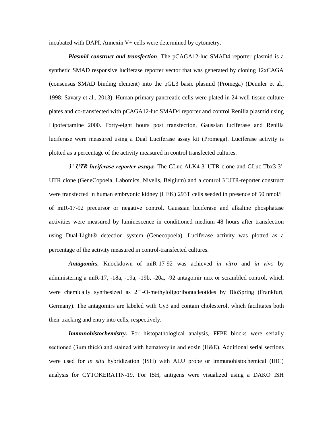incubated with DAPI. Annexin V+ cells were determined by cytometry.

*Plasmid construct and transfection.* The pCAGA12-luc SMAD4 reporter plasmid is a synthetic SMAD responsive luciferase reporter vector that was generated by cloning 12xCAGA (consensus SMAD binding element) into the pGL3 basic plasmid (Promega) (Dennler et al., 1998; Savary et al., 2013). Human primary pancreatic cells were plated in 24-well tissue culture plates and co-transfected with pCAGA12-luc SMAD4 reporter and control Renilla plasmid using Lipofectamine 2000. Forty-eight hours post transfection, Gaussian luciferase and Renilla luciferase were measured using a Dual Luciferase assay kit (Promega). Luciferase activity is plotted as a percentage of the activity measured in control transfected cultures.

*3' UTR luciferase reporter assays.* The GLuc-ALK4-3'-UTR clone and GLuc-Tbx3-3'- UTR clone (GeneCopoeia, Labomics, Nivells, Belgium) and a control 3'UTR-reporter construct were transfected in human embryonic kidney (HEK) 293T cells seeded in presence of 50 nmol/L of miR-17-92 precursor or negative control. Gaussian luciferase and alkaline phosphatase activities were measured by luminescence in conditioned medium 48 hours after transfection using Dual-Light® detection system (Genecopoeia). Luciferase activity was plotted as a percentage of the activity measured in control-transfected cultures.

*Antagomirs.* Knockdown of miR-17-92 was achieved *in vitro* and *in vivo* by administering a miR‐17, -18a, -19a, -19b, -20a, -92 antagomir mix or scrambled control, which were chemically synthesized as  $2\square$ -O-methyloligoribonucleotides by BioSpring (Frankfurt, Germany). The antagomirs are labeled with Cy3 and contain cholesterol, which facilitates both their tracking and entry into cells, respectively.

*Immunohistochemistry*. For histopathological analysis, FFPE blocks were serially sectioned (3μm thick) and stained with hematoxylin and eosin (H&E). Additional serial sections were used for *in situ* hybridization (ISH) with ALU probe or immunohistochemical (IHC) analysis for CYTOKERATIN-19. For ISH, antigens were visualized using a DAKO ISH